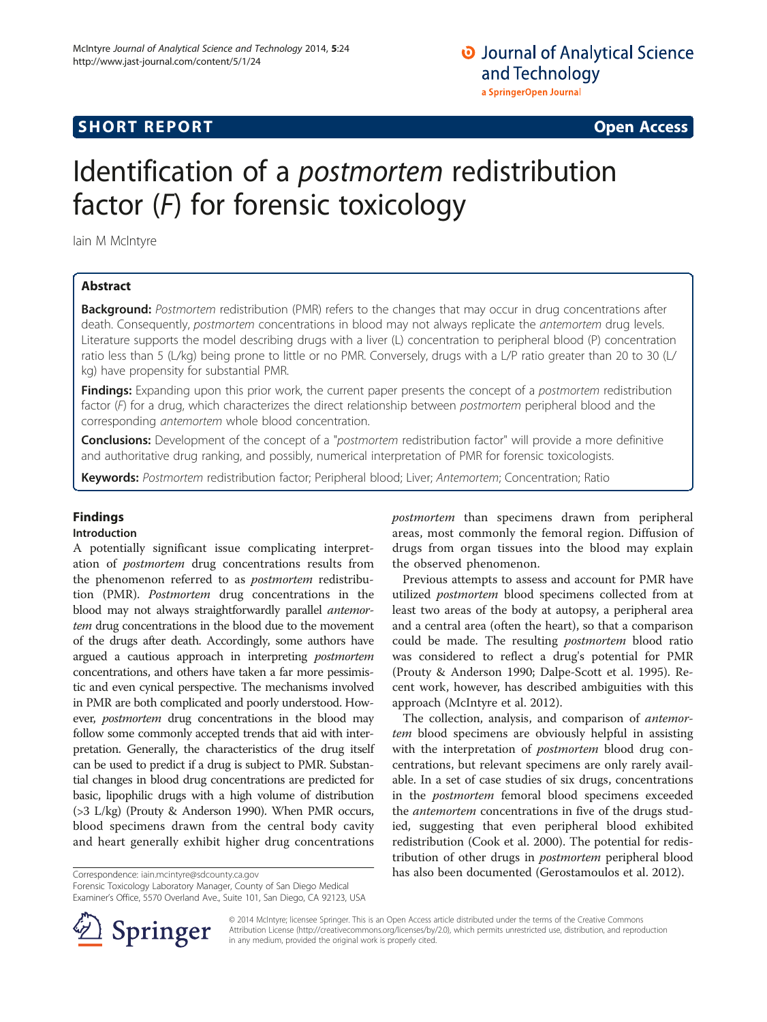## **SHORT REPORT SHORT CONSUMING THE CONSUMING THE CONSUMING THE CONSUMING THE CONSUMING THE CONSUMING THE CONSUMING THE CONSUMING THE CONSUMING THE CONSUMING THE CONSUMING THE CONSUMING THE CONSUMING THE CONSUMING THE CO**

# Identification of a postmortem redistribution factor  $(F)$  for forensic toxicology

Iain M McIntyre

### Abstract

Background: Postmortem redistribution (PMR) refers to the changes that may occur in drug concentrations after death. Consequently, postmortem concentrations in blood may not always replicate the antemortem drug levels. Literature supports the model describing drugs with a liver (L) concentration to peripheral blood (P) concentration ratio less than 5 (L/kg) being prone to little or no PMR. Conversely, drugs with a L/P ratio greater than 20 to 30 (L/ kg) have propensity for substantial PMR.

Findings: Expanding upon this prior work, the current paper presents the concept of a postmortem redistribution factor (F) for a drug, which characterizes the direct relationship between postmortem peripheral blood and the corresponding antemortem whole blood concentration.

**Conclusions:** Development of the concept of a "postmortem redistribution factor" will provide a more definitive and authoritative drug ranking, and possibly, numerical interpretation of PMR for forensic toxicologists.

Keywords: Postmortem redistribution factor; Peripheral blood; Liver; Antemortem; Concentration; Ratio

## Findings

#### Introduction

A potentially significant issue complicating interpretation of postmortem drug concentrations results from the phenomenon referred to as postmortem redistribution (PMR). Postmortem drug concentrations in the blood may not always straightforwardly parallel antemortem drug concentrations in the blood due to the movement of the drugs after death. Accordingly, some authors have argued a cautious approach in interpreting postmortem concentrations, and others have taken a far more pessimistic and even cynical perspective. The mechanisms involved in PMR are both complicated and poorly understood. However, *postmortem* drug concentrations in the blood may follow some commonly accepted trends that aid with interpretation. Generally, the characteristics of the drug itself can be used to predict if a drug is subject to PMR. Substantial changes in blood drug concentrations are predicted for basic, lipophilic drugs with a high volume of distribution (>3 L/kg) (Prouty & Anderson [1990](#page-2-0)). When PMR occurs, blood specimens drawn from the central body cavity and heart generally exhibit higher drug concentrations

Forensic Toxicology Laboratory Manager, County of San Diego Medical Examiner's Office, 5570 Overland Ave., Suite 101, San Diego, CA 92123, USA postmortem than specimens drawn from peripheral areas, most commonly the femoral region. Diffusion of drugs from organ tissues into the blood may explain the observed phenomenon.

Previous attempts to assess and account for PMR have utilized postmortem blood specimens collected from at least two areas of the body at autopsy, a peripheral area and a central area (often the heart), so that a comparison could be made. The resulting *postmortem* blood ratio was considered to reflect a drug's potential for PMR (Prouty & Anderson [1990](#page-2-0); Dalpe-Scott et al. [1995](#page-1-0)). Recent work, however, has described ambiguities with this approach (McIntyre et al. [2012\)](#page-2-0).

The collection, analysis, and comparison of antemortem blood specimens are obviously helpful in assisting with the interpretation of *postmortem* blood drug concentrations, but relevant specimens are only rarely available. In a set of case studies of six drugs, concentrations in the postmortem femoral blood specimens exceeded the *antemortem* concentrations in five of the drugs studied, suggesting that even peripheral blood exhibited redistribution (Cook et al. [2000\)](#page-1-0). The potential for redistribution of other drugs in postmortem peripheral blood Correspondence: [iain.mcintyre@sdcounty.ca.gov](mailto:iain.mcintyre@sdcounty.ca.gov) has also been documented (Gerostamoulos et al. [2012](#page-1-0)).



© 2014 McIntyre; licensee Springer. This is an Open Access article distributed under the terms of the Creative Commons Attribution License [\(http://creativecommons.org/licenses/by/2.0\)](http://creativecommons.org/licenses/by/2.0), which permits unrestricted use, distribution, and reproduction in any medium, provided the original work is properly cited.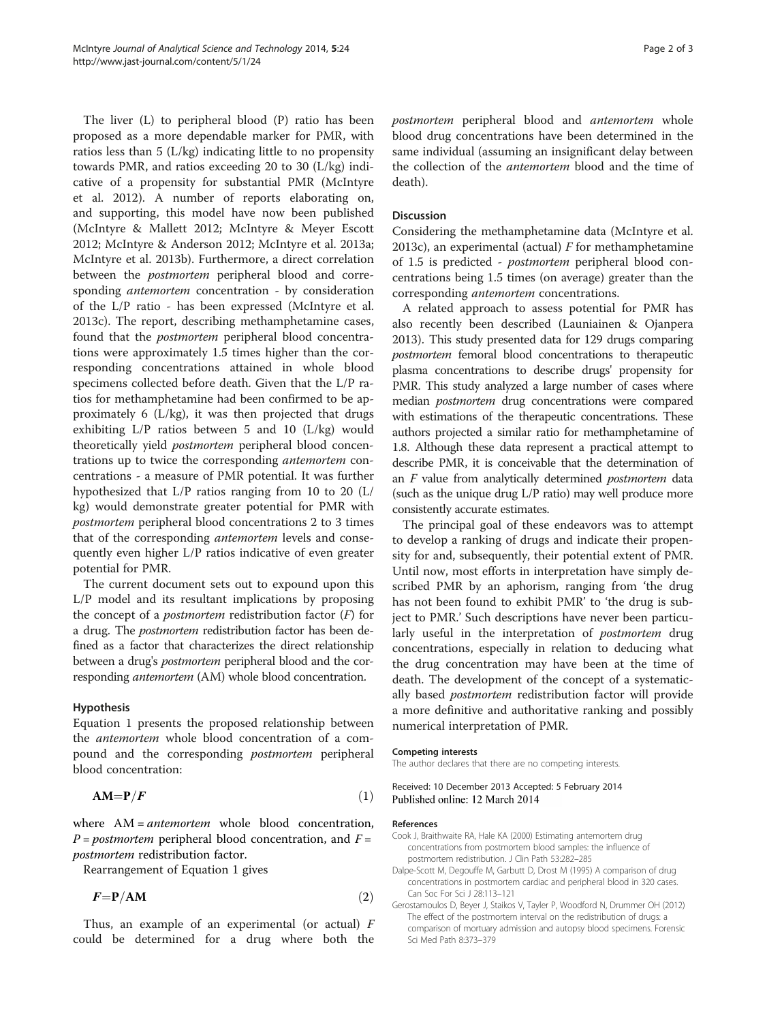<span id="page-1-0"></span>The liver (L) to peripheral blood (P) ratio has been proposed as a more dependable marker for PMR, with ratios less than 5 (L/kg) indicating little to no propensity towards PMR, and ratios exceeding 20 to 30 (L/kg) indicative of a propensity for substantial PMR (McIntyre et al. [2012](#page-2-0)). A number of reports elaborating on, and supporting, this model have now been published (McIntyre & Mallett [2012](#page-2-0); McIntyre & Meyer Escott [2012](#page-2-0); McIntyre & Anderson [2012](#page-2-0); McIntyre et al. [2013a](#page-2-0); McIntyre et al. [2013b\)](#page-2-0). Furthermore, a direct correlation between the *postmortem* peripheral blood and corresponding antemortem concentration - by consideration of the L/P ratio - has been expressed (McIntyre et al. [2013c\)](#page-2-0). The report, describing methamphetamine cases, found that the postmortem peripheral blood concentrations were approximately 1.5 times higher than the corresponding concentrations attained in whole blood specimens collected before death. Given that the L/P ratios for methamphetamine had been confirmed to be approximately 6 (L/kg), it was then projected that drugs exhibiting L/P ratios between 5 and 10 (L/kg) would theoretically yield postmortem peripheral blood concentrations up to twice the corresponding antemortem concentrations - a measure of PMR potential. It was further hypothesized that L/P ratios ranging from 10 to 20 (L/ kg) would demonstrate greater potential for PMR with postmortem peripheral blood concentrations 2 to 3 times that of the corresponding antemortem levels and consequently even higher L/P ratios indicative of even greater potential for PMR.

The current document sets out to expound upon this L/P model and its resultant implications by proposing the concept of a *postmortem* redistribution factor  $(F)$  for a drug. The postmortem redistribution factor has been defined as a factor that characterizes the direct relationship between a drug's *postmortem* peripheral blood and the corresponding *antemortem* (AM) whole blood concentration.

#### Hypothesis

Equation 1 presents the proposed relationship between the antemortem whole blood concentration of a compound and the corresponding *postmortem* peripheral blood concentration:

$$
AM = P/F
$$
 (1)

where AM = *antemortem* whole blood concentration,  $P = postmortem$  peripheral blood concentration, and  $F =$ postmortem redistribution factor.

Rearrangement of Equation 1 gives

$$
F = P/AM \tag{2}
$$

Thus, an example of an experimental (or actual)  $F$ could be determined for a drug where both the postmortem peripheral blood and antemortem whole blood drug concentrations have been determined in the same individual (assuming an insignificant delay between the collection of the antemortem blood and the time of death).

#### Discussion

Considering the methamphetamine data (McIntyre et al. [2013c\)](#page-2-0), an experimental (actual)  $F$  for methamphetamine of 1.5 is predicted - postmortem peripheral blood concentrations being 1.5 times (on average) greater than the corresponding antemortem concentrations.

A related approach to assess potential for PMR has also recently been described (Launiainen & Ojanpera [2013](#page-2-0)). This study presented data for 129 drugs comparing postmortem femoral blood concentrations to therapeutic plasma concentrations to describe drugs' propensity for PMR. This study analyzed a large number of cases where median postmortem drug concentrations were compared with estimations of the therapeutic concentrations. These authors projected a similar ratio for methamphetamine of 1.8. Although these data represent a practical attempt to describe PMR, it is conceivable that the determination of an F value from analytically determined postmortem data (such as the unique drug L/P ratio) may well produce more consistently accurate estimates.

The principal goal of these endeavors was to attempt to develop a ranking of drugs and indicate their propensity for and, subsequently, their potential extent of PMR. Until now, most efforts in interpretation have simply described PMR by an aphorism, ranging from 'the drug has not been found to exhibit PMR' to 'the drug is subject to PMR.' Such descriptions have never been particularly useful in the interpretation of *postmortem* drug concentrations, especially in relation to deducing what the drug concentration may have been at the time of death. The development of the concept of a systematically based postmortem redistribution factor will provide a more definitive and authoritative ranking and possibly numerical interpretation of PMR.

#### Competing interests

The author declares that there are no competing interests.

Received: 10 December 2013 Accepted: 5 February 2014 Published online: 12 March 2014

#### References

- Cook J, Braithwaite RA, Hale KA (2000) Estimating antemortem drug concentrations from postmortem blood samples: the influence of postmortem redistribution. J Clin Path 53:282–285
- Dalpe-Scott M, Degouffe M, Garbutt D, Drost M (1995) A comparison of drug concentrations in postmortem cardiac and peripheral blood in 320 cases. Can Soc For Sci J 28:113–121
- Gerostamoulos D, Beyer J, Staikos V, Tayler P, Woodford N, Drummer OH (2012) The effect of the postmortem interval on the redistribution of drugs: a comparison of mortuary admission and autopsy blood specimens. Forensic Sci Med Path 8:373–379